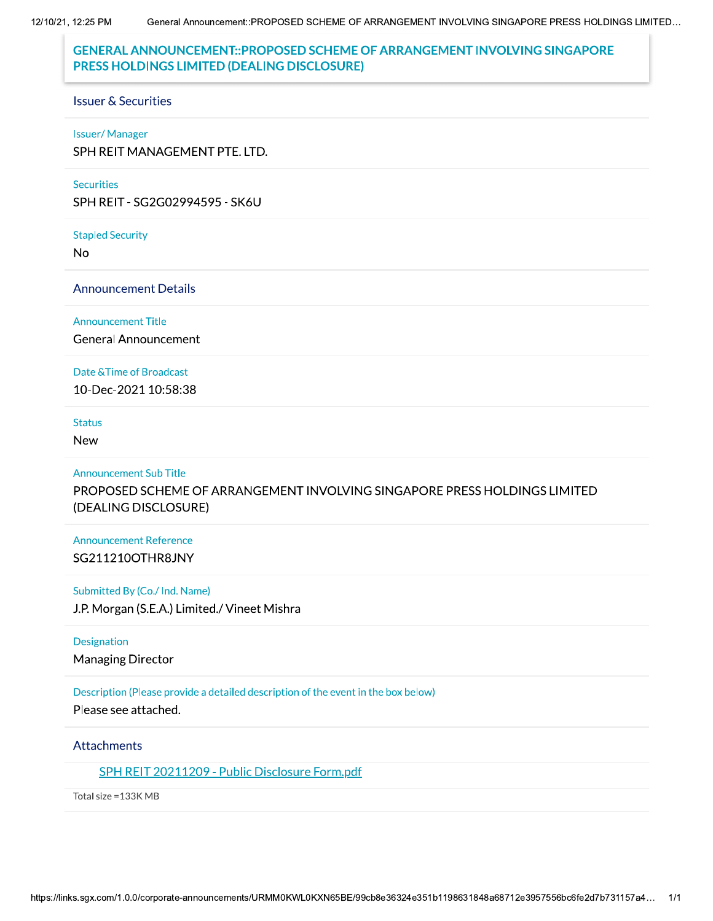12/10/21, 12:25 PM General Announcement::PROPOSED SCHEME OF ARRANGEMENT INVOLVING SINGAPORE PRESS HOLDINGS LIMITED...

# **GENERAL ANNOUNCEMENT::PROPOSED SCHEME OF ARRANGEMENT INVOLVING SINGAPORE** PRESS HOLDINGS LIMITED (DEALING DISCLOSURE)

#### **Issuer & Securities**

### **Issuer/Manager**

SPH REIT MANAGEMENT PTE. LTD.

#### **Securities**

SPH REIT - SG2G02994595 - SK6U

**Stapled Security** 

**No** 

**Announcement Details** 

#### **Announcement Title**

**General Announcement** 

### Date & Time of Broadcast

10-Dec-2021 10:58:38

## **Status**

**New** 

### **Announcement Sub Title**

PROPOSED SCHEME OF ARRANGEMENT INVOLVING SINGAPORE PRESS HOLDINGS LIMITED (DEALING DISCLOSURE)

## **Announcement Reference** SG211210OTHR8JNY

### Submitted By (Co./ Ind. Name)

J.P. Morgan (S.E.A.) Limited./ Vineet Mishra

### Designation

**Managing Director** 

### Description (Please provide a detailed description of the event in the box below)

Please see attached.

### **Attachments**

SPH REIT 20211209 - Public Disclosure Form.pdf

Total size = 133K MB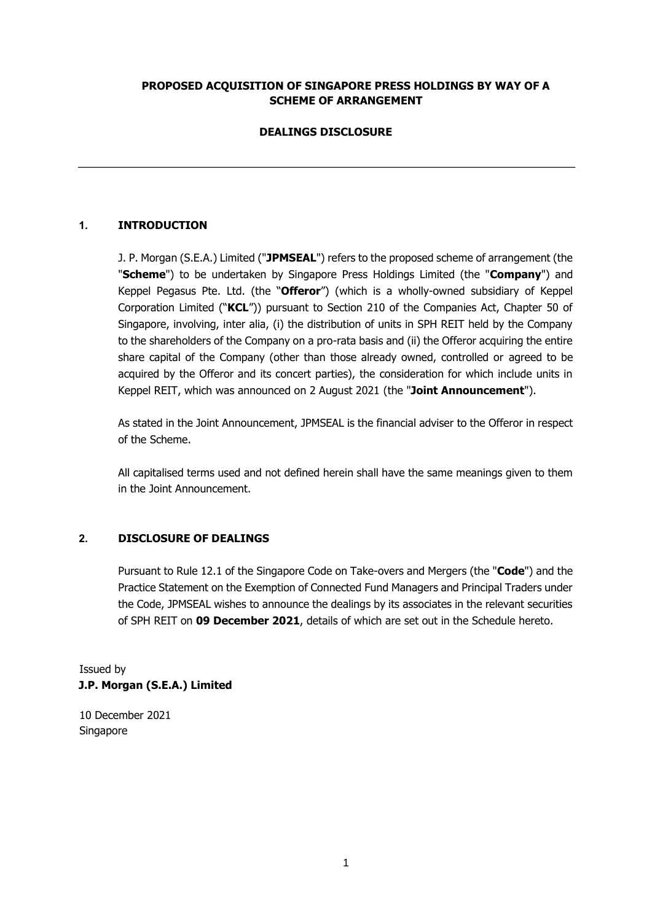# **PROPOSED ACQUISITION OF SINGAPORE PRESS HOLDINGS BY WAY OF A SCHEME OF ARRANGEMENT**

# **DEALINGS DISCLOSURE**

# **1. INTRODUCTION**

J. P. Morgan (S.E.A.) Limited ("**JPMSEAL**") refers to the proposed scheme of arrangement (the "**Scheme**") to be undertaken by Singapore Press Holdings Limited (the "**Company**") and Keppel Pegasus Pte. Ltd. (the "**Offeror**") (which is a wholly-owned subsidiary of Keppel Corporation Limited ("**KCL**")) pursuant to Section 210 of the Companies Act, Chapter 50 of Singapore, involving, inter alia, (i) the distribution of units in SPH REIT held by the Company to the shareholders of the Company on a pro-rata basis and (ii) the Offeror acquiring the entire share capital of the Company (other than those already owned, controlled or agreed to be acquired by the Offeror and its concert parties), the consideration for which include units in Keppel REIT, which was announced on 2 August 2021 (the "**Joint Announcement**").

As stated in the Joint Announcement, JPMSEAL is the financial adviser to the Offeror in respect of the Scheme.

All capitalised terms used and not defined herein shall have the same meanings given to them in the Joint Announcement.

## **2. DISCLOSURE OF DEALINGS**

Pursuant to Rule 12.1 of the Singapore Code on Take-overs and Mergers (the "**Code**") and the Practice Statement on the Exemption of Connected Fund Managers and Principal Traders under the Code, JPMSEAL wishes to announce the dealings by its associates in the relevant securities of SPH REIT on **09 December 2021**, details of which are set out in the Schedule hereto.

Issued by **J.P. Morgan (S.E.A.) Limited** 

10 December 2021 Singapore